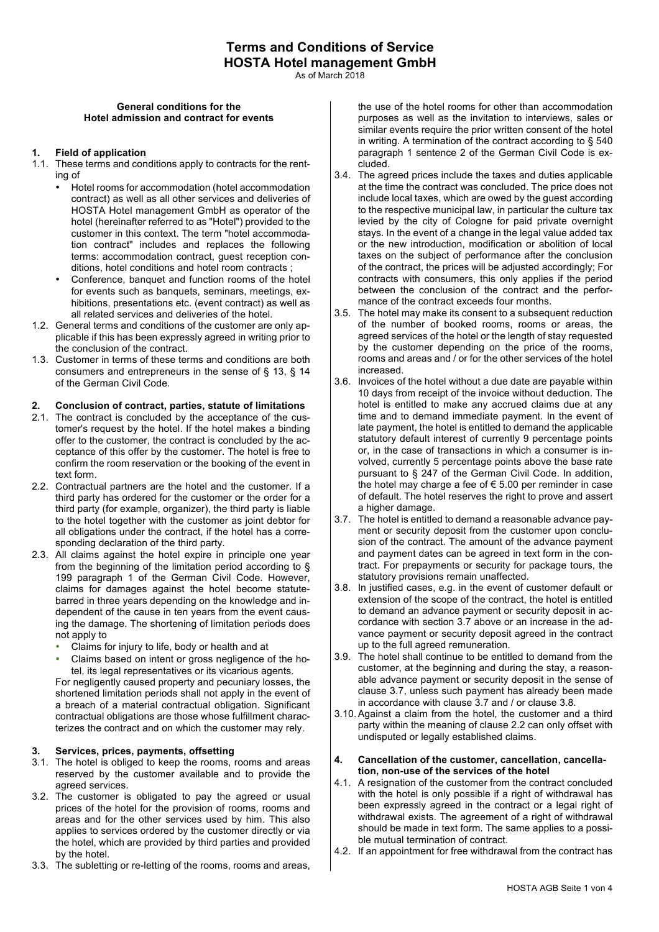As of March 2018

#### **General conditions for the Hotel admission and contract for events**

#### **1. Field of application**

- 1.1. These terms and conditions apply to contracts for the renting of
	- Hotel rooms for accommodation (hotel accommodation contract) as well as all other services and deliveries of HOSTA Hotel management GmbH as operator of the hotel (hereinafter referred to as "Hotel") provided to the customer in this context. The term "hotel accommodation contract" includes and replaces the following terms: accommodation contract, guest reception conditions, hotel conditions and hotel room contracts ;
	- Conference, banquet and function rooms of the hotel for events such as banquets, seminars, meetings, exhibitions, presentations etc. (event contract) as well as all related services and deliveries of the hotel.
- 1.2. General terms and conditions of the customer are only applicable if this has been expressly agreed in writing prior to the conclusion of the contract.
- 1.3. Customer in terms of these terms and conditions are both consumers and entrepreneurs in the sense of § 13, § 14 of the German Civil Code.

#### **2. Conclusion of contract, parties, statute of limitations**

- 2.1. The contract is concluded by the acceptance of the customer's request by the hotel. If the hotel makes a binding offer to the customer, the contract is concluded by the acceptance of this offer by the customer. The hotel is free to confirm the room reservation or the booking of the event in text form.
- 2.2. Contractual partners are the hotel and the customer. If a third party has ordered for the customer or the order for a third party (for example, organizer), the third party is liable to the hotel together with the customer as joint debtor for all obligations under the contract, if the hotel has a corresponding declaration of the third party.
- 2.3. All claims against the hotel expire in principle one year from the beginning of the limitation period according to § 199 paragraph 1 of the German Civil Code. However, claims for damages against the hotel become statutebarred in three years depending on the knowledge and independent of the cause in ten years from the event causing the damage. The shortening of limitation periods does not apply to
	- Claims for injury to life, body or health and at
	- Claims based on intent or gross negligence of the hotel, its legal representatives or its vicarious agents.

For negligently caused property and pecuniary losses, the shortened limitation periods shall not apply in the event of a breach of a material contractual obligation. Significant contractual obligations are those whose fulfillment characterizes the contract and on which the customer may rely.

## **3. Services, prices, payments, offsetting**

- 3.1. The hotel is obliged to keep the rooms, rooms and areas reserved by the customer available and to provide the agreed services.
- 3.2. The customer is obligated to pay the agreed or usual prices of the hotel for the provision of rooms, rooms and areas and for the other services used by him. This also applies to services ordered by the customer directly or via the hotel, which are provided by third parties and provided by the hotel.
- 3.3. The subletting or re-letting of the rooms, rooms and areas,

the use of the hotel rooms for other than accommodation purposes as well as the invitation to interviews, sales or similar events require the prior written consent of the hotel in writing. A termination of the contract according to § 540 paragraph 1 sentence 2 of the German Civil Code is excluded.

- 3.4. The agreed prices include the taxes and duties applicable at the time the contract was concluded. The price does not include local taxes, which are owed by the guest according to the respective municipal law, in particular the culture tax levied by the city of Cologne for paid private overnight stays. In the event of a change in the legal value added tax or the new introduction, modification or abolition of local taxes on the subject of performance after the conclusion of the contract, the prices will be adjusted accordingly; For contracts with consumers, this only applies if the period between the conclusion of the contract and the performance of the contract exceeds four months.
- 3.5. The hotel may make its consent to a subsequent reduction of the number of booked rooms, rooms or areas, the agreed services of the hotel or the length of stay requested by the customer depending on the price of the rooms, rooms and areas and / or for the other services of the hotel increased.
- 3.6. Invoices of the hotel without a due date are payable within 10 days from receipt of the invoice without deduction. The hotel is entitled to make any accrued claims due at any time and to demand immediate payment. In the event of late payment, the hotel is entitled to demand the applicable statutory default interest of currently 9 percentage points or, in the case of transactions in which a consumer is involved, currently 5 percentage points above the base rate pursuant to § 247 of the German Civil Code. In addition, the hotel may charge a fee of € 5.00 per reminder in case of default. The hotel reserves the right to prove and assert a higher damage.
- 3.7. The hotel is entitled to demand a reasonable advance payment or security deposit from the customer upon conclusion of the contract. The amount of the advance payment and payment dates can be agreed in text form in the contract. For prepayments or security for package tours, the statutory provisions remain unaffected.
- 3.8. In justified cases, e.g. in the event of customer default or extension of the scope of the contract, the hotel is entitled to demand an advance payment or security deposit in accordance with section 3.7 above or an increase in the advance payment or security deposit agreed in the contract up to the full agreed remuneration.
- 3.9. The hotel shall continue to be entitled to demand from the customer, at the beginning and during the stay, a reasonable advance payment or security deposit in the sense of clause 3.7, unless such payment has already been made in accordance with clause 3.7 and / or clause 3.8.
- 3.10.Against a claim from the hotel, the customer and a third party within the meaning of clause 2.2 can only offset with undisputed or legally established claims.
- **4. Cancellation of the customer, cancellation, cancellation, non-use of the services of the hotel**
- 4.1. A resignation of the customer from the contract concluded with the hotel is only possible if a right of withdrawal has been expressly agreed in the contract or a legal right of withdrawal exists. The agreement of a right of withdrawal should be made in text form. The same applies to a possible mutual termination of contract.
- 4.2. If an appointment for free withdrawal from the contract has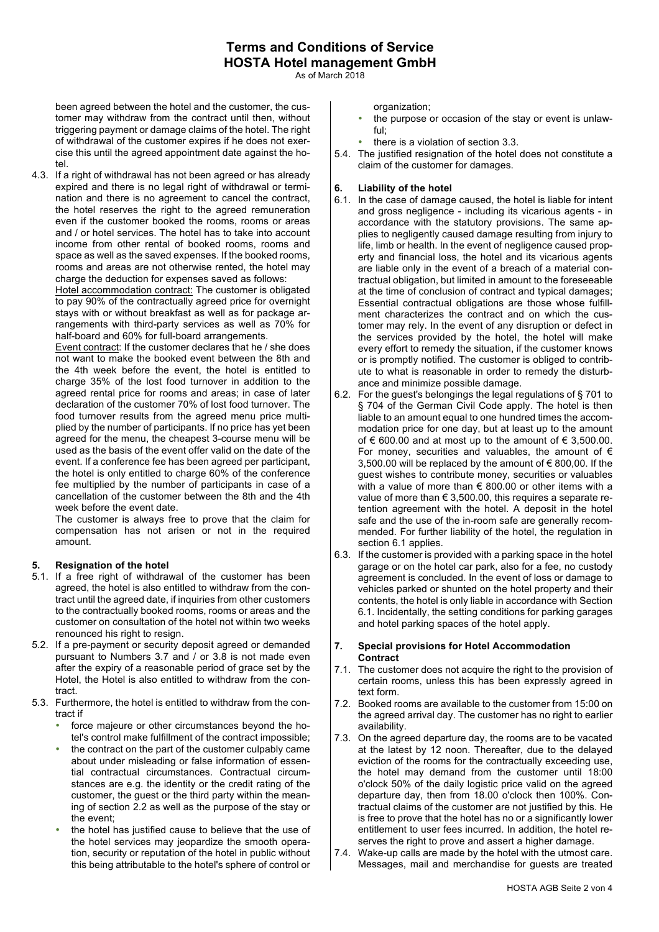# **Terms and Conditions of Service HOSTA Hotel management GmbH**

As of March 2018

been agreed between the hotel and the customer, the customer may withdraw from the contract until then, without triggering payment or damage claims of the hotel. The right of withdrawal of the customer expires if he does not exercise this until the agreed appointment date against the hotel.

4.3. If a right of withdrawal has not been agreed or has already expired and there is no legal right of withdrawal or termination and there is no agreement to cancel the contract, the hotel reserves the right to the agreed remuneration even if the customer booked the rooms, rooms or areas and / or hotel services. The hotel has to take into account income from other rental of booked rooms, rooms and space as well as the saved expenses. If the booked rooms, rooms and areas are not otherwise rented, the hotel may charge the deduction for expenses saved as follows:

Hotel accommodation contract: The customer is obligated to pay 90% of the contractually agreed price for overnight stays with or without breakfast as well as for package arrangements with third-party services as well as 70% for half-board and 60% for full-board arrangements.

Event contract: If the customer declares that he / she does not want to make the booked event between the 8th and the 4th week before the event, the hotel is entitled to charge 35% of the lost food turnover in addition to the agreed rental price for rooms and areas; in case of later declaration of the customer 70% of lost food turnover. The food turnover results from the agreed menu price multiplied by the number of participants. If no price has yet been agreed for the menu, the cheapest 3-course menu will be used as the basis of the event offer valid on the date of the event. If a conference fee has been agreed per participant, the hotel is only entitled to charge 60% of the conference fee multiplied by the number of participants in case of a cancellation of the customer between the 8th and the 4th week before the event date.

The customer is always free to prove that the claim for compensation has not arisen or not in the required amount.

## **5. Resignation of the hotel**

- 5.1. If a free right of withdrawal of the customer has been agreed, the hotel is also entitled to withdraw from the contract until the agreed date, if inquiries from other customers to the contractually booked rooms, rooms or areas and the customer on consultation of the hotel not within two weeks renounced his right to resign.
- 5.2. If a pre-payment or security deposit agreed or demanded pursuant to Numbers 3.7 and / or 3.8 is not made even after the expiry of a reasonable period of grace set by the Hotel, the Hotel is also entitled to withdraw from the contract.
- 5.3. Furthermore, the hotel is entitled to withdraw from the contract if
	- force majeure or other circumstances beyond the hotel's control make fulfillment of the contract impossible;
	- the contract on the part of the customer culpably came about under misleading or false information of essential contractual circumstances. Contractual circumstances are e.g. the identity or the credit rating of the customer, the guest or the third party within the meaning of section 2.2 as well as the purpose of the stay or the event;
	- the hotel has justified cause to believe that the use of the hotel services may jeopardize the smooth operation, security or reputation of the hotel in public without this being attributable to the hotel's sphere of control or

organization;

- the purpose or occasion of the stay or event is unlawful;
- there is a violation of section 3.3.
- 5.4. The justified resignation of the hotel does not constitute a claim of the customer for damages.

## **6. Liability of the hotel**

- 6.1. In the case of damage caused, the hotel is liable for intent and gross negligence - including its vicarious agents - in accordance with the statutory provisions. The same applies to negligently caused damage resulting from injury to life, limb or health. In the event of negligence caused property and financial loss, the hotel and its vicarious agents are liable only in the event of a breach of a material contractual obligation, but limited in amount to the foreseeable at the time of conclusion of contract and typical damages; Essential contractual obligations are those whose fulfillment characterizes the contract and on which the customer may rely. In the event of any disruption or defect in the services provided by the hotel, the hotel will make every effort to remedy the situation, if the customer knows or is promptly notified. The customer is obliged to contribute to what is reasonable in order to remedy the disturbance and minimize possible damage.
- 6.2. For the guest's belongings the legal regulations of § 701 to § 704 of the German Civil Code apply. The hotel is then liable to an amount equal to one hundred times the accommodation price for one day, but at least up to the amount of € 600.00 and at most up to the amount of  $∈$  3,500.00. For money, securities and valuables, the amount of  $\epsilon$ 3,500,00 will be replaced by the amount of  $\epsilon$  800,00. If the guest wishes to contribute money, securities or valuables with a value of more than € 800.00 or other items with a value of more than  $\epsilon$  3,500.00, this requires a separate retention agreement with the hotel. A deposit in the hotel safe and the use of the in-room safe are generally recommended. For further liability of the hotel, the regulation in section 6.1 applies.
- 6.3. If the customer is provided with a parking space in the hotel garage or on the hotel car park, also for a fee, no custody agreement is concluded. In the event of loss or damage to vehicles parked or shunted on the hotel property and their contents, the hotel is only liable in accordance with Section 6.1. Incidentally, the setting conditions for parking garages and hotel parking spaces of the hotel apply.

#### **7. Special provisions for Hotel Accommodation Contract**

- 7.1. The customer does not acquire the right to the provision of certain rooms, unless this has been expressly agreed in text form.
- 7.2. Booked rooms are available to the customer from 15:00 on the agreed arrival day. The customer has no right to earlier availability.
- 7.3. On the agreed departure day, the rooms are to be vacated at the latest by 12 noon. Thereafter, due to the delayed eviction of the rooms for the contractually exceeding use, the hotel may demand from the customer until 18:00 o'clock 50% of the daily logistic price valid on the agreed departure day, then from 18.00 o'clock then 100%. Contractual claims of the customer are not justified by this. He is free to prove that the hotel has no or a significantly lower entitlement to user fees incurred. In addition, the hotel reserves the right to prove and assert a higher damage.
- 7.4. Wake-up calls are made by the hotel with the utmost care. Messages, mail and merchandise for guests are treated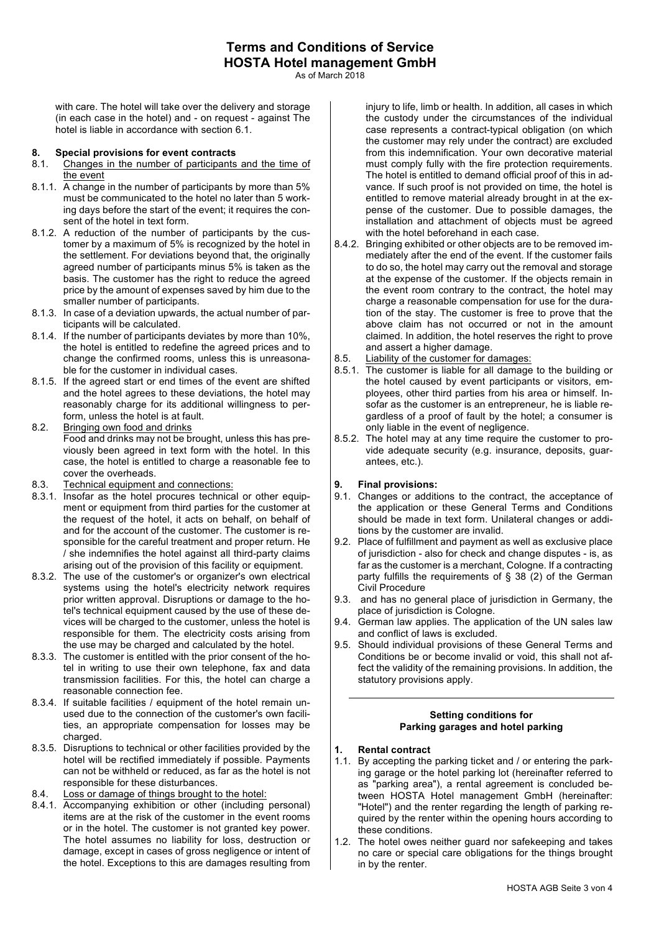As of March 2018

with care. The hotel will take over the delivery and storage (in each case in the hotel) and - on request - against The hotel is liable in accordance with section 6.1.

#### **8. Special provisions for event contracts**

- 8.1. Changes in the number of participants and the time of the event
- 8.1.1. A change in the number of participants by more than 5% must be communicated to the hotel no later than 5 working days before the start of the event; it requires the consent of the hotel in text form.
- 8.1.2. A reduction of the number of participants by the customer by a maximum of 5% is recognized by the hotel in the settlement. For deviations beyond that, the originally agreed number of participants minus 5% is taken as the basis. The customer has the right to reduce the agreed price by the amount of expenses saved by him due to the smaller number of participants.
- 8.1.3. In case of a deviation upwards, the actual number of participants will be calculated.
- 8.1.4. If the number of participants deviates by more than 10%, the hotel is entitled to redefine the agreed prices and to change the confirmed rooms, unless this is unreasonable for the customer in individual cases.
- 8.1.5. If the agreed start or end times of the event are shifted and the hotel agrees to these deviations, the hotel may reasonably charge for its additional willingness to perform, unless the hotel is at fault.
- 8.2. Bringing own food and drinks Food and drinks may not be brought, unless this has previously been agreed in text form with the hotel. In this case, the hotel is entitled to charge a reasonable fee to cover the overheads.
- 8.3. Technical equipment and connections:
- 8.3.1. Insofar as the hotel procures technical or other equipment or equipment from third parties for the customer at the request of the hotel, it acts on behalf, on behalf of and for the account of the customer. The customer is responsible for the careful treatment and proper return. He / she indemnifies the hotel against all third-party claims arising out of the provision of this facility or equipment.
- 8.3.2. The use of the customer's or organizer's own electrical systems using the hotel's electricity network requires prior written approval. Disruptions or damage to the hotel's technical equipment caused by the use of these devices will be charged to the customer, unless the hotel is responsible for them. The electricity costs arising from the use may be charged and calculated by the hotel.
- 8.3.3. The customer is entitled with the prior consent of the hotel in writing to use their own telephone, fax and data transmission facilities. For this, the hotel can charge a reasonable connection fee.
- 8.3.4. If suitable facilities / equipment of the hotel remain unused due to the connection of the customer's own facilities, an appropriate compensation for losses may be charged
- 8.3.5. Disruptions to technical or other facilities provided by the hotel will be rectified immediately if possible. Payments can not be withheld or reduced, as far as the hotel is not responsible for these disturbances.
- 8.4. Loss or damage of things brought to the hotel:
- 8.4.1. Accompanying exhibition or other (including personal) items are at the risk of the customer in the event rooms or in the hotel. The customer is not granted key power. The hotel assumes no liability for loss, destruction or damage, except in cases of gross negligence or intent of the hotel. Exceptions to this are damages resulting from

injury to life, limb or health. In addition, all cases in which the custody under the circumstances of the individual case represents a contract-typical obligation (on which the customer may rely under the contract) are excluded from this indemnification. Your own decorative material must comply fully with the fire protection requirements. The hotel is entitled to demand official proof of this in advance. If such proof is not provided on time, the hotel is entitled to remove material already brought in at the expense of the customer. Due to possible damages, the installation and attachment of objects must be agreed with the hotel beforehand in each case.

- 8.4.2. Bringing exhibited or other objects are to be removed immediately after the end of the event. If the customer fails to do so, the hotel may carry out the removal and storage at the expense of the customer. If the objects remain in the event room contrary to the contract, the hotel may charge a reasonable compensation for use for the duration of the stay. The customer is free to prove that the above claim has not occurred or not in the amount claimed. In addition, the hotel reserves the right to prove and assert a higher damage.
- 8.5. Liability of the customer for damages:
- 8.5.1. The customer is liable for all damage to the building or the hotel caused by event participants or visitors, employees, other third parties from his area or himself. Insofar as the customer is an entrepreneur, he is liable regardless of a proof of fault by the hotel; a consumer is only liable in the event of negligence.
- 8.5.2. The hotel may at any time require the customer to provide adequate security (e.g. insurance, deposits, guarantees, etc.).

## **9. Final provisions:**

- 9.1. Changes or additions to the contract, the acceptance of the application or these General Terms and Conditions should be made in text form. Unilateral changes or additions by the customer are invalid.
- 9.2. Place of fulfillment and payment as well as exclusive place of jurisdiction - also for check and change disputes - is, as far as the customer is a merchant, Cologne. If a contracting party fulfills the requirements of § 38 (2) of the German Civil Procedure
- 9.3. and has no general place of jurisdiction in Germany, the place of jurisdiction is Cologne.
- 9.4. German law applies. The application of the UN sales law and conflict of laws is excluded.
- 9.5. Should individual provisions of these General Terms and Conditions be or become invalid or void, this shall not affect the validity of the remaining provisions. In addition, the statutory provisions apply.

# **Setting conditions for Parking garages and hotel parking**

- **1. Rental contract**
- 1.1. By accepting the parking ticket and / or entering the parking garage or the hotel parking lot (hereinafter referred to as "parking area"), a rental agreement is concluded between HOSTA Hotel management GmbH (hereinafter: "Hotel") and the renter regarding the length of parking required by the renter within the opening hours according to these conditions.
- 1.2. The hotel owes neither guard nor safekeeping and takes no care or special care obligations for the things brought in by the renter.